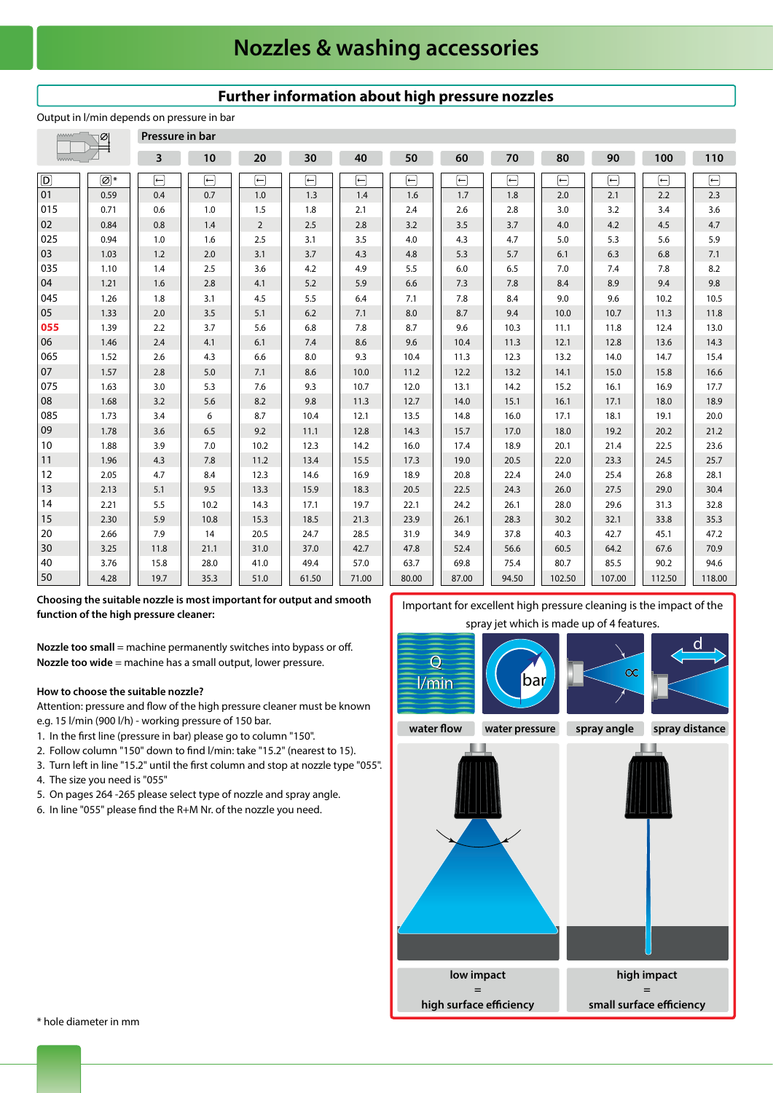## **Nozzles & washing accessories**

#### **Pressure in bar 3 10 20 30 40 50 60 70 80 90 100 110**  $\overline{\Box}$  $\overline{\Box}$  $\overline{C}$  $\overline{C}$  $\overline{C}$  $\overline{\blacksquare}$  $\overline{D}$  **\*** ╔  $\overline{\longleftarrow}$ 同  $\overline{\overline{\overline{}}\overline{\overline{\overline{}}}}$  $\overline{(-)}$  $\overline{01}$ 0.59 0.4 0.7 1.0 1.3 1.4 1.6 1.7 1.8 2.0 2.2 2.3 2.1 015 0.71 0.6 1.0 1.5 1.8 2.1  $24$ 2.6 2.8 3.0 3.2 3.4 3.6  $02$ 0.8  $2.5$ 3.2 3.5 3.7  $4.2$ 4.5 4.7 0.84 1.4  $\overline{\phantom{0}}$ 2.8 4.0 025 0.94 1.0 2.5 3.5 4.0 4.3 5.3 5.6 1.6 3.1 4.7 5.0 5.9 03 1.03 1.2 2.0 3.1 3.7 4.3 4.8 5.3 5.7 6.3 6.8 7.1 6.1 035 1.10 3.6 5.5 7.0 7.8 8.2 1.4 2.5 4.2 4.9 6.0 6.5 7.4 04 1.21 1.6 2.8 4.1 5.2 5.9 6.6 7.3 7.8 8.9 9.4 9.8 8.4 045 4.5 7.8 10.2 10.5 1.26 1.8 3.1 5.5 6.4 7.1 8.4 9.0 9.6 05 1.33 2.0 3.5 5.1 6.2 7.1 8.0 8.7 10.0 10.7 11.3 11.8 9.4 **055** 7.8 10.3 11.1 13.0 1.39 2.2 3.7 5.6 6.8 8.7 9.6 11.8 12.4 06 2.4 8.6 9.6 10.4 11.3 12.1 12.8 14.3 1.46 4.1 6.1 7.4 13.6 065 1.52 2.6 4.3 6.6 8.0 9.3 10.4 11.3 12.3 13.2 14.0 14.7 15.4 07 1.57 2.8 5.0 7.1 8.6 10.0 11.2 12.2 13.2 14.1 15.0 15.8 16.6 075 1.63 3.0 5.3 7.6 9.3 10.7 12.0 13.1 14.2 15.2 16.1 16.9 17.7 08 1.68 3.2 5.6 8.2 9.8 11.3 12.7 14.0 15.1 16.1 17.1 18.0 18.9 085 1.73 3.4 6 8.7 10.4 12.1 13.5 14.8 16.0 17.1 18.1 19.1 20.0 09 1.78 3.6 6.5 9.2 11.1 12.8 14.3 15.7 17.0 18.0 19.2 20.2 21.2 10 1.88 3.9 7.0 10.2 12.3 14.2 16.0 17.4 18.9 20.1 21.4 22.5 23.6 11 7.8 11.2 15.5 17.3 20.5 22.0 23.3 24.5 25.7 1.96 4.3 13.4 19.0 12 2.05 12.3 25.4 28.1 4.7 8.4 14.6 16.9 18.9 20.8 22.4 24.0 26.8 13 2.13 5.1 13.3 18.3 20.5 22.5 26.0 27.5 29.0 30.4 9.5 15.9 24.3 14 5.5  $10.2$ 19.7 28.0 2.21 14.3 17.1 22.1 24.2 26.1 29.6 31.3 32.8 15 2.30 5.9 10.8 15.3 18.5 21.3 23.9 26.1 28.3 30.2 32.1 35.3 33.8  $20$ 20.5 28.5 40.3 47.2 2.66 7.9 14 24.7 31.9 34.9 37.8 42.7 45.1 30 3.25 11.8 21.1 31.0 42.7 60.5 64.2 70.9 37.0 47.8 52.4 56.6 67.6 40 15.8  $28.0$ 41.0 80.7 85.5 90.2 3.76 49.4 57.0 63.7 69.8 75.4 94.6 50 71.00 107.00 35.3 51.0 80.00 87.00 94.50 102.50 112.50 118.00 4.28 19.7 61.50

**Further information about high pressure nozzles**

#### Output in l/min depends on pressure in bar

**Choosing the suitable nozzle is most important for output and smooth function of the high pressure cleaner:**

**Nozzle too small** = machine permanently switches into bypass or off. **Nozzle too wide** = machine has a small output, lower pressure.

### **How to choose the suitable nozzle?**

 Attention: pressure and flow of the high pressure cleaner must be known e.g. 15 l/min (900 l/h) - working pressure of 150 bar.

- 1. In the first line (pressure in bar) please go to column "150".
- 2. Follow column "150" down to find l/min: take "15.2" (nearest to 15).
- 3. Turn left in line "15.2" until the first column and stop at nozzle type "055".
- 4. The size you need is "055"
- 5. On pages 264 -265 please select type of nozzle and spray angle.
- 6. In line "055" please find the R+M Nr. of the nozzle you need.



\* hole diameter in mm